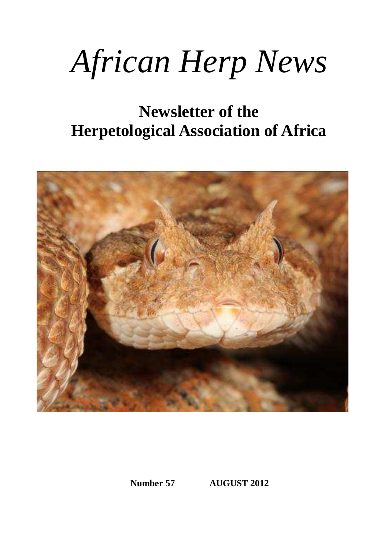# *African Herp News*

# **Newsletter of the Herpetological Association of Africa**



**Number 57 AUGUST 2012**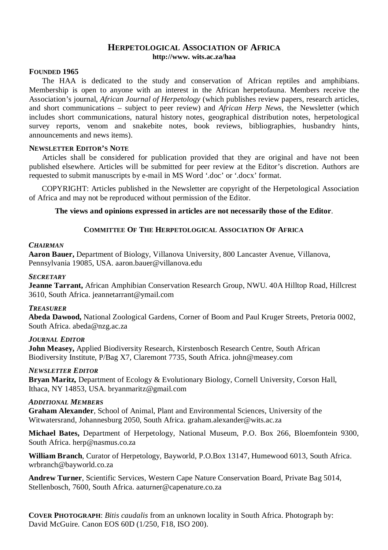#### **HERPETOLOGICAL ASSOCIATION OF AFRICA http://www. wits.ac.za/haa**

#### **FOUNDED 1965**

The HAA is dedicated to the study and conservation of African reptiles and amphibians. Membership is open to anyone with an interest in the African herpetofauna. Members receive the Association's journal, *African Journal of Herpetology* (which publishes review papers, research articles, and short communications – subject to peer review) and *African Herp News*, the Newsletter (which includes short communications, natural history notes, geographical distribution notes, herpetological survey reports, venom and snakebite notes, book reviews, bibliographies, husbandry hints, announcements and news items).

#### **NEWSLETTER EDITOR'S NOTE**

Articles shall be considered for publication provided that they are original and have not been published elsewhere. Articles will be submitted for peer review at the Editor's discretion. Authors are requested to submit manuscripts by e-mail in MS Word '.doc' or '.docx' format.

COPYRIGHT: Articles published in the Newsletter are copyright of the Herpetological Association of Africa and may not be reproduced without permission of the Editor.

#### **The views and opinions expressed in articles are not necessarily those of the Editor**.

#### **COMMITTEE OF THE HERPETOLOGICAL ASSOCIATION OF AFRICA**

#### *CHAIRMAN*

**Aaron Bauer,** Department of Biology, Villanova University, 800 Lancaster Avenue, Villanova, Pennsylvania 19085, USA. aaron.bauer@villanova.edu

#### *SECRETARY*

**Jeanne Tarrant,** African Amphibian Conservation Research Group, NWU. 40A Hilltop Road, Hillcrest 3610, South Africa. jeannetarrant@ymail.com

#### *TREASURER*

**Abeda Dawood,** National Zoological Gardens, Corner of Boom and Paul Kruger Streets, Pretoria 0002, South Africa. abeda@nzg.ac.za

#### *JOURNAL EDITOR*

**John Measey,** Applied Biodiversity Research, Kirstenbosch Research Centre, South African Biodiversity Institute, P/Bag X7, Claremont 7735, South Africa. john@measey.com

#### *NEWSLETTER EDITOR*

**Bryan Maritz,** Department of Ecology & Evolutionary Biology, Cornell University, Corson Hall, Ithaca, NY 14853, USA. bryanmaritz@gmail.com

#### *ADDITIONAL MEMBERS*

**Graham Alexander**, School of Animal, Plant and Environmental Sciences, University of the Witwatersrand, Johannesburg 2050, South Africa. graham.alexander@wits.ac.za

**Michael Bates,** Department of Herpetology, National Museum, P.O. Box 266, Bloemfontein 9300, South Africa. herp@nasmus.co.za

**William Branch**, Curator of Herpetology, Bayworld, P.O.Box 13147, Humewood 6013, South Africa. wrbranch@bayworld.co.za

**Andrew Turner**, Scientific Services, Western Cape Nature Conservation Board, Private Bag 5014, Stellenbosch, 7600, South Africa. aaturner@capenature.co.za

**COVER PHOTOGRAPH**: *Bitis caudalis* from an unknown locality in South Africa. Photograph by: David McGuire. Canon EOS 60D (1/250, F18, ISO 200).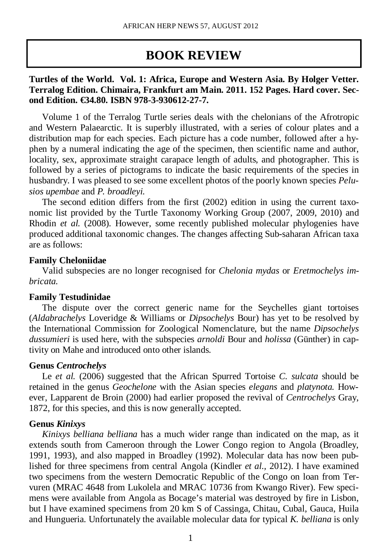# **BOOK REVIEW**

## **Turtles of the World. Vol. 1: Africa, Europe and Western Asia. By Holger Vetter. Terralog Edition. Chimaira, Frankfurt am Main. 2011. 152 Pages. Hard cover. Second Edition. €34.80. ISBN 978-3-930612-27-7.**

Volume 1 of the Terralog Turtle series deals with the chelonians of the Afrotropic and Western Palaearctic. It is superbly illustrated, with a series of colour plates and a distribution map for each species. Each picture has a code number, followed after a hyphen by a numeral indicating the age of the specimen, then scientific name and author, locality, sex, approximate straight carapace length of adults, and photographer. This is followed by a series of pictograms to indicate the basic requirements of the species in husbandry. I was pleased to see some excellent photos of the poorly known species *Pelusios upembae* and *P. broadleyi.*

The second edition differs from the first (2002) edition in using the current taxonomic list provided by the Turtle Taxonomy Working Group (2007, 2009, 2010) and Rhodin *et al.* (2008). However, some recently published molecular phylogenies have produced additional taxonomic changes. The changes affecting Sub-saharan African taxa are as follows:

## **Family Cheloniidae**

Valid subspecies are no longer recognised for *Chelonia mydas* or *Eretmochelys imbricata.* 

## **Family Testudinidae**

The dispute over the correct generic name for the Seychelles giant tortoises (*Aldabrachelys* Loveridge & Williams or *Dipsochelys* Bour) has yet to be resolved by the International Commission for Zoological Nomenclature, but the name *Dipsochelys dussumieri* is used here, with the subspecies *arnoldi* Bour and *holissa* (Günther) in captivity on Mahe and introduced onto other islands.

## **Genus** *Centrochelys*

Le *et al.* (2006) suggested that the African Spurred Tortoise *C. sulcata* should be retained in the genus *Geochelone* with the Asian species *elegans* and *platynota.* However, Lapparent de Broin (2000) had earlier proposed the revival of *Centrochelys* Gray, 1872, for this species, and this is now generally accepted.

## **Genus** *Kinixys*

*Kinixys belliana belliana* has a much wider range than indicated on the map, as it extends south from Cameroon through the Lower Congo region to Angola (Broadley, 1991, 1993), and also mapped in Broadley (1992). Molecular data has now been published for three specimens from central Angola (Kindler *et al.,* 2012). I have examined two specimens from the western Democratic Republic of the Congo on loan from Tervuren (MRAC 4648 from Lukolela and MRAC 10736 from Kwango River). Few specimens were available from Angola as Bocage's material was destroyed by fire in Lisbon, but I have examined specimens from 20 km S of Cassinga, Chitau, Cubal, Gauca, Huila and Hungueria. Unfortunately the available molecular data for typical *K. belliana* is only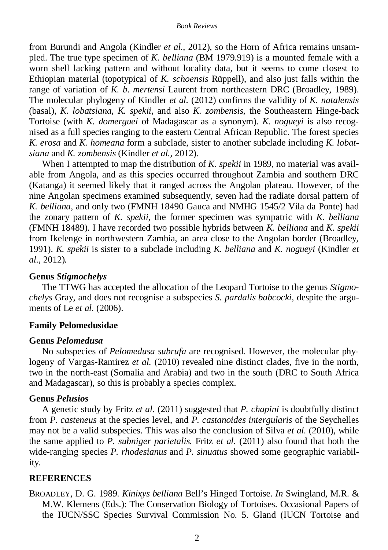from Burundi and Angola (Kindler *et al.,* 2012), so the Horn of Africa remains unsampled. The true type specimen of *K. belliana* (BM 1979.919) is a mounted female with a worn shell lacking pattern and without locality data, but it seems to come closest to Ethiopian material (topotypical of *K. schoensis* Rüppell), and also just falls within the range of variation of *K. b. mertensi* Laurent from northeastern DRC (Broadley, 1989). The molecular phylogeny of Kindler *et al.* (2012) confirms the validity of *K. natalensis*  (basal), *K. lobatsiana, K. spekii,* and also *K. zombensis,* the Southeastern Hinge-back Tortoise (with *K. domerguei* of Madagascar as a synonym). *K. nogueyi* is also recognised as a full species ranging to the eastern Central African Republic. The forest species *K. erosa* and *K. homeana* form a subclade, sister to another subclade including *K. lobatsiana* and *K. zombensis* (Kindler *et al.,* 2012)*.*

When I attempted to map the distribution of *K. spekii* in 1989, no material was available from Angola, and as this species occurred throughout Zambia and southern DRC (Katanga) it seemed likely that it ranged across the Angolan plateau. However, of the nine Angolan specimens examined subsequently, seven had the radiate dorsal pattern of *K. belliana,* and only two (FMNH 18490 Gauca and NMHG 1545/2 Vila da Ponte) had the zonary pattern of *K. spekii,* the former specimen was sympatric with *K. belliana*  (FMNH 18489). I have recorded two possible hybrids between *K. belliana* and *K. spekii*  from Ikelenge in northwestern Zambia, an area close to the Angolan border (Broadley, 1991). *K. spekii* is sister to a subclade including *K. belliana* and *K. nogueyi* (Kindler *et al.,* 2012)*.* 

## **Genus** *Stigmochelys*

The TTWG has accepted the allocation of the Leopard Tortoise to the genus *Stigmochelys* Gray, and does not recognise a subspecies *S. pardalis babcocki,* despite the arguments of Le *et al.* (2006).

## **Family Pelomedusidae**

## **Genus** *Pelomedusa*

No subspecies of *Pelomedusa subrufa* are recognised. However, the molecular phylogeny of Vargas-Ramirez *et al.* (2010) revealed nine distinct clades, five in the north, two in the north-east (Somalia and Arabia) and two in the south (DRC to South Africa and Madagascar), so this is probably a species complex.

## **Genus** *Pelusios*

A genetic study by Fritz *et al.* (2011) suggested that *P. chapini* is doubtfully distinct from *P. casteneus* at the species level, and *P. castanoides intergularis* of the Seychelles may not be a valid subspecies. This was also the conclusion of Silva *et al.* (2010), while the same applied to *P. subniger parietalis.* Fritz *et al.* (2011) also found that both the wide-ranging species *P. rhodesianus* and *P. sinuatus* showed some geographic variability.

## **REFERENCES**

BROADLEY, D. G. 1989. *Kinixys belliana* Bell's Hinged Tortoise. *In* Swingland, M.R. & M.W. Klemens (Eds.): The Conservation Biology of Tortoises. Occasional Papers of the IUCN/SSC Species Survival Commission No. 5. Gland (IUCN Tortoise and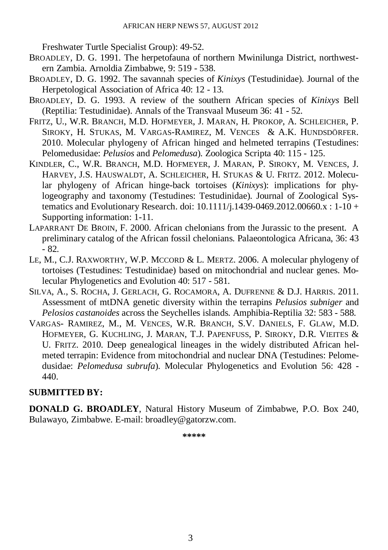Freshwater Turtle Specialist Group): 49-52.

- BROADLEY, D. G. 1991. The herpetofauna of northern Mwinilunga District, northwestern Zambia. Arnoldia Zimbabwe, 9: 519 - 538.
- BROADLEY, D. G. 1992. The savannah species of *Kinixys* (Testudinidae). Journal of the Herpetological Association of Africa 40: 12 - 13.
- BROADLEY, D. G. 1993. A review of the southern African species of *Kinixys* Bell (Reptilia: Testudinidae). Annals of the Transvaal Museum 36: 41 - 52.
- FRITZ, U., W.R. BRANCH, M.D. HOFMEYER, J. MARAN, H. PROKOP, A. SCHLEICHER, P. SIROKY, H. STUKAS, M. VARGAS-RAMIREZ, M. VENCES & A.K. HUNDSDÖRFER. 2010. Molecular phylogeny of African hinged and helmeted terrapins (Testudines: Pelomedusidae: *Pelusios* and *Pelomedusa*). Zoologica Scripta 40: 115 - 125.
- KINDLER, C., W.R. BRANCH, M.D. HOFMEYER, J. MARAN, P. SIROKY, M. VENCES, J. HARVEY, J.S. HAUSWALDT, A. SCHLEICHER, H. STUKAS & U. FRITZ. 2012. Molecular phylogeny of African hinge-back tortoises (*Kinixys*): implications for phylogeography and taxonomy (Testudines: Testudinidae). Journal of Zoological Systematics and Evolutionary Research. doi: 10.1111/j.1439-0469.2012.00660.x : 1-10 + Supporting information: 1-11.
- LAPARRANT DE BROIN, F. 2000. African chelonians from the Jurassic to the present. A preliminary catalog of the African fossil chelonians. Palaeontologica Africana, 36: 43 - 82.
- LE, M., C.J. RAXWORTHY, W.P. MCCORD & L. MERTZ. 2006. A molecular phylogeny of tortoises (Testudines: Testudinidae) based on mitochondrial and nuclear genes. Molecular Phylogenetics and Evolution 40: 517 - 581.
- SILVA, A., S. ROCHA, J. GERLACH, G. ROCAMORA, A. DUFRENNE & D.J. HARRIS. 2011. Assessment of mtDNA genetic diversity within the terrapins *Pelusios subniger* and *Pelosios castanoides* across the Seychelles islands. Amphibia-Reptilia 32: 583 - 588.
- VARGAS- RAMIREZ, M., M. VENCES, W.R. BRANCH, S.V. DANIELS, F. GLAW, M.D. HOFMEYER, G. KUCHLING, J. MARAN, T.J. PAPENFUSS, P. SIROKY, D.R. VIEITES & U. FRITZ. 2010. Deep genealogical lineages in the widely distributed African helmeted terrapin: Evidence from mitochondrial and nuclear DNA (Testudines: Pelomedusidae: *Pelomedusa subrufa*). Molecular Phylogenetics and Evolution 56: 428 - 440.

## **SUBMITTED BY:**

**DONALD G. BROADLEY**, Natural History Museum of Zimbabwe, P.O. Box 240, Bulawayo, Zimbabwe. E-mail: broadley@gatorzw.com.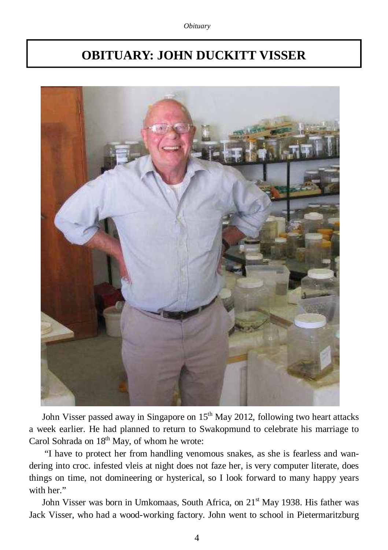# **OBITUARY: JOHN DUCKITT VISSER**



John Visser passed away in Singapore on  $15<sup>th</sup>$  May 2012, following two heart attacks a week earlier. He had planned to return to Swakopmund to celebrate his marriage to Carol Sohrada on 18<sup>th</sup> May, of whom he wrote:

 "I have to protect her from handling venomous snakes, as she is fearless and wandering into croc. infested vleis at night does not faze her, is very computer literate, does things on time, not domineering or hysterical, so I look forward to many happy years with her."

John Visser was born in Umkomaas, South Africa, on 21<sup>st</sup> May 1938. His father was Jack Visser, who had a wood-working factory. John went to school in Pietermaritzburg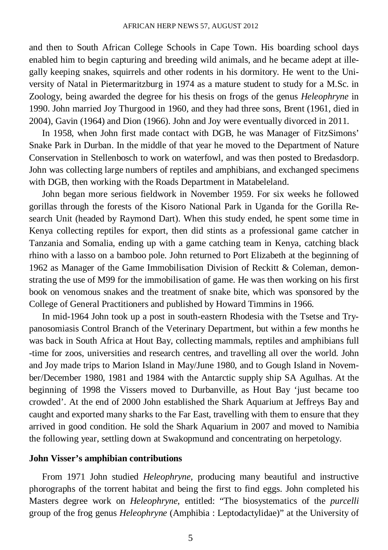and then to South African College Schools in Cape Town. His boarding school days enabled him to begin capturing and breeding wild animals, and he became adept at illegally keeping snakes, squirrels and other rodents in his dormitory. He went to the University of Natal in Pietermaritzburg in 1974 as a mature student to study for a M.Sc. in Zoology, being awarded the degree for his thesis on frogs of the genus *Heleophryne* in 1990. John married Joy Thurgood in 1960, and they had three sons, Brent (1961, died in 2004), Gavin (1964) and Dion (1966). John and Joy were eventually divorced in 2011.

In 1958, when John first made contact with DGB, he was Manager of FitzSimons' Snake Park in Durban. In the middle of that year he moved to the Department of Nature Conservation in Stellenbosch to work on waterfowl, and was then posted to Bredasdorp. John was collecting large numbers of reptiles and amphibians, and exchanged specimens with DGB, then working with the Roads Department in Matabeleland.

John began more serious fieldwork in November 1959. For six weeks he followed gorillas through the forests of the Kisoro National Park in Uganda for the Gorilla Research Unit (headed by Raymond Dart). When this study ended, he spent some time in Kenya collecting reptiles for export, then did stints as a professional game catcher in Tanzania and Somalia, ending up with a game catching team in Kenya, catching black rhino with a lasso on a bamboo pole. John returned to Port Elizabeth at the beginning of 1962 as Manager of the Game Immobilisation Division of Reckitt & Coleman, demonstrating the use of M99 for the immobilisation of game. He was then working on his first book on venomous snakes and the treatment of snake bite, which was sponsored by the College of General Practitioners and published by Howard Timmins in 1966.

In mid-1964 John took up a post in south-eastern Rhodesia with the Tsetse and Trypanosomiasis Control Branch of the Veterinary Department, but within a few months he was back in South Africa at Hout Bay, collecting mammals, reptiles and amphibians full -time for zoos, universities and research centres, and travelling all over the world. John and Joy made trips to Marion Island in May/June 1980, and to Gough Island in November/December 1980, 1981 and 1984 with the Antarctic supply ship SA Agulhas. At the beginning of 1998 the Vissers moved to Durbanville, as Hout Bay 'just became too crowded'. At the end of 2000 John established the Shark Aquarium at Jeffreys Bay and caught and exported many sharks to the Far East, travelling with them to ensure that they arrived in good condition. He sold the Shark Aquarium in 2007 and moved to Namibia the following year, settling down at Swakopmund and concentrating on herpetology.

#### **John Visser's amphibian contributions**

From 1971 John studied *Heleophryne,* producing many beautiful and instructive phorographs of the torrent habitat and being the first to find eggs. John completed his Masters degree work on *Heleophryne*, entitled: "The biosystematics of the *purcelli* group of the frog genus *Heleophryne* (Amphibia : Leptodactylidae)" at the University of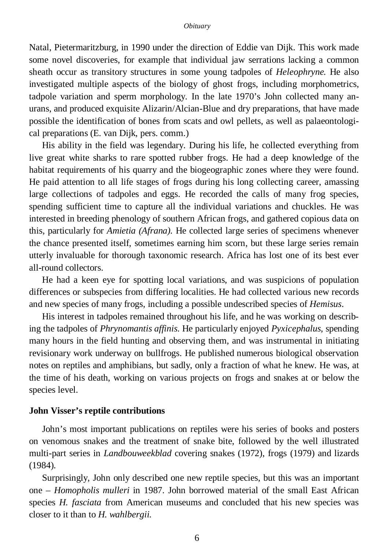Natal, Pietermaritzburg, in 1990 under the direction of Eddie van Dijk. This work made some novel discoveries, for example that individual jaw serrations lacking a common sheath occur as transitory structures in some young tadpoles of *Heleophryne.* He also investigated multiple aspects of the biology of ghost frogs, including morphometrics, tadpole variation and sperm morphology. In the late 1970's John collected many anurans, and produced exquisite Alizarin/Alcian-Blue and dry preparations, that have made possible the identification of bones from scats and owl pellets, as well as palaeontological preparations (E. van Dijk, pers. comm.)

His ability in the field was legendary. During his life, he collected everything from live great white sharks to rare spotted rubber frogs. He had a deep knowledge of the habitat requirements of his quarry and the biogeographic zones where they were found. He paid attention to all life stages of frogs during his long collecting career, amassing large collections of tadpoles and eggs. He recorded the calls of many frog species, spending sufficient time to capture all the individual variations and chuckles. He was interested in breeding phenology of southern African frogs, and gathered copious data on this, particularly for *Amietia (Afrana)*. He collected large series of specimens whenever the chance presented itself, sometimes earning him scorn, but these large series remain utterly invaluable for thorough taxonomic research. Africa has lost one of its best ever all-round collectors.

He had a keen eye for spotting local variations, and was suspicions of population differences or subspecies from differing localities. He had collected various new records and new species of many frogs, including a possible undescribed species of *Hemisus*.

His interest in tadpoles remained throughout his life, and he was working on describing the tadpoles of *Phrynomantis affinis*. He particularly enjoyed *Pyxicephalus*, spending many hours in the field hunting and observing them, and was instrumental in initiating revisionary work underway on bullfrogs. He published numerous biological observation notes on reptiles and amphibians, but sadly, only a fraction of what he knew. He was, at the time of his death, working on various projects on frogs and snakes at or below the species level.

#### **John Visser's reptile contributions**

John's most important publications on reptiles were his series of books and posters on venomous snakes and the treatment of snake bite, followed by the well illustrated multi-part series in *Landbouweekblad* covering snakes (1972), frogs (1979) and lizards (1984).

Surprisingly, John only described one new reptile species, but this was an important one – *Homopholis mulleri* in 1987. John borrowed material of the small East African species *H. fasciata* from American museums and concluded that his new species was closer to it than to *H. wahlbergii.*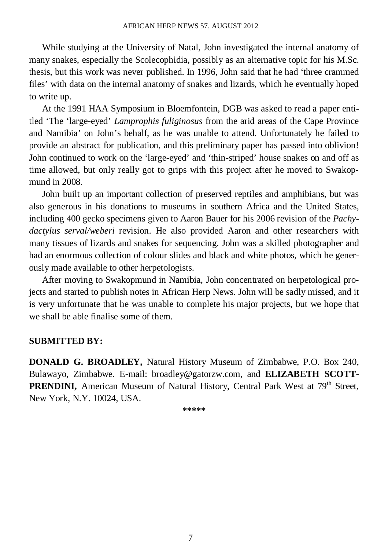While studying at the University of Natal, John investigated the internal anatomy of many snakes, especially the Scolecophidia, possibly as an alternative topic for his M.Sc. thesis, but this work was never published. In 1996, John said that he had 'three crammed files' with data on the internal anatomy of snakes and lizards, which he eventually hoped to write up.

At the 1991 HAA Symposium in Bloemfontein, DGB was asked to read a paper entitled 'The 'large-eyed' *Lamprophis fuliginosus* from the arid areas of the Cape Province and Namibia' on John's behalf, as he was unable to attend. Unfortunately he failed to provide an abstract for publication, and this preliminary paper has passed into oblivion! John continued to work on the 'large-eyed' and 'thin-striped' house snakes on and off as time allowed, but only really got to grips with this project after he moved to Swakopmund in 2008.

John built up an important collection of preserved reptiles and amphibians, but was also generous in his donations to museums in southern Africa and the United States, including 400 gecko specimens given to Aaron Bauer for his 2006 revision of the *Pachydactylus serval/weberi* revision. He also provided Aaron and other researchers with many tissues of lizards and snakes for sequencing. John was a skilled photographer and had an enormous collection of colour slides and black and white photos, which he generously made available to other herpetologists.

After moving to Swakopmund in Namibia, John concentrated on herpetological projects and started to publish notes in African Herp News. John will be sadly missed, and it is very unfortunate that he was unable to complete his major projects, but we hope that we shall be able finalise some of them.

#### **SUBMITTED BY:**

**DONALD G. BROADLEY,** Natural History Museum of Zimbabwe, P.O. Box 240, Bulawayo, Zimbabwe. E-mail: broadley@gatorzw.com, and **ELIZABETH SCOTT-**PRENDINI, American Museum of Natural History, Central Park West at 79<sup>th</sup> Street, New York, N.Y. 10024, USA.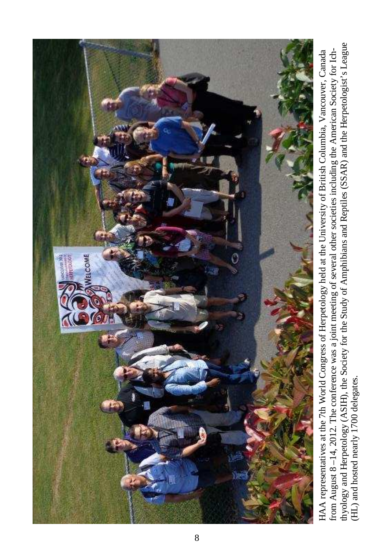

thyology and Herpetology (ASIH), the Society for the Study of Amphibians and Reptiles (SSAR) and the Herpetologist's League thyology and Herpetology (ASIH), the Society for the Study of Amphibians and Reptiles (SSAR) and the Herpetologist's League HAA representatives at the 7th World Congress of Herpetology held at the University of British Columbia, Vancouver, Canada from August 8-14, 2012. The conference was a joint meeting of several other societies including the American Society for Ichfrom August 8 –14, 2012. The conference was a joint meeting of several other societies including the American Society for Ich-HAA representatives at the 7th World Congress of Herpetology held at the University of British Columbia, Vancouver, Canada (HL) and hosted nearly 1700 delegates. (HL) and hosted nearly 1700 delegates.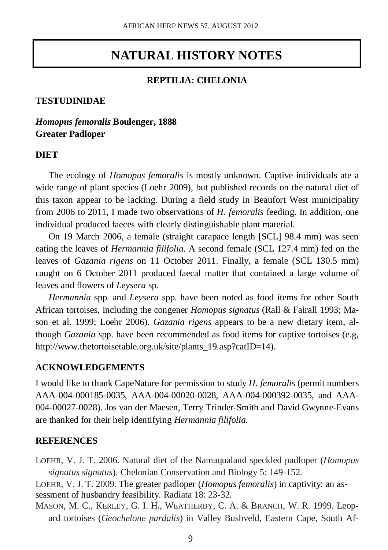## **NATURAL HISTORY NOTES**

## **REPTILIA: CHELONIA**

## **TESTUDINIDAE**

## *Homopus femoralis* **Boulenger, 1888 Greater Padloper**

#### **DIET**

The ecology of *Homopus femoralis* is mostly unknown. Captive individuals ate a wide range of plant species (Loehr 2009), but published records on the natural diet of this taxon appear to be lacking. During a field study in Beaufort West municipality from 2006 to 2011, I made two observations of *H. femoralis* feeding. In addition, one individual produced faeces with clearly distinguishable plant material.

On 19 March 2006, a female (straight carapace length [SCL] 98.4 mm) was seen eating the leaves of *Hermannia filifolia*. A second female (SCL 127.4 mm) fed on the leaves of *Gazania rigens* on 11 October 2011. Finally, a female (SCL 130.5 mm) caught on 6 October 2011 produced faecal matter that contained a large volume of leaves and flowers of *Leysera* sp.

*Hermannia* spp. and *Leysera* spp. have been noted as food items for other South African tortoises, including the congener *Homopus signatus* (Rall & Fairall 1993; Mason et al. 1999; Loehr 2006). *Gazania rigens* appears to be a new dietary item, although *Gazania* spp. have been recommended as food items for captive tortoises (e.g, http://www.thetortoisetable.org.uk/site/plants 19.asp?catID=14).

#### **ACKNOWLEDGEMENTS**

I would like to thank CapeNature for permission to study *H. femoralis* (permit numbers AAA-004-000185-0035, AAA-004-00020-0028, AAA-004-000392-0035, and AAA-004-00027-0028). Jos van der Maesen, Terry Trinder-Smith and David Gwynne-Evans are thanked for their help identifying *Hermannia filifolia*.

## **REFERENCES**

LOEHR, V. J. T. 2006. Natural diet of the Namaqualand speckled padloper (*Homopus signatus signatus*). Chelonian Conservation and Biology 5: 149-152.

LOEHR, V. J. T. 2009. The greater padloper (*Homopus femoralis*) in captivity: an assessment of husbandry feasibility. Radiata 18: 23-32.

MASON, M. C., KERLEY, G. I. H., WEATHERBY, C. A. & BRANCH, W. R. 1999. Leopard tortoises (*Geochelone pardalis*) in Valley Bushveld, Eastern Cape, South Af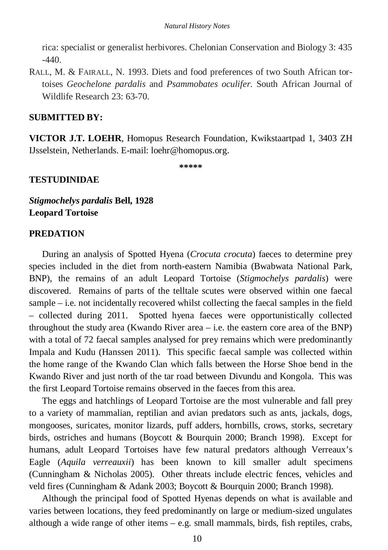rica: specialist or generalist herbivores. Chelonian Conservation and Biology 3: 435  $-440.$ 

RALL, M. & FAIRALL, N. 1993. Diets and food preferences of two South African tortoises *Geochelone pardalis* and *Psammobates oculifer*. South African Journal of Wildlife Research 23: 63-70.

#### **SUBMITTED BY:**

**VICTOR J.T. LOEHR**, Homopus Research Foundation, Kwikstaartpad 1, 3403 ZH IJsselstein, Netherlands. E-mail: loehr@homopus.org.

**\*\*\*\*\*** 

#### **TESTUDINIDAE**

*Stigmochelys pardalis* **Bell, 1928 Leopard Tortoise** 

## **PREDATION**

During an analysis of Spotted Hyena (*Crocuta crocuta*) faeces to determine prey species included in the diet from north-eastern Namibia (Bwabwata National Park, BNP), the remains of an adult Leopard Tortoise (*Stigmochelys pardalis*) were discovered. Remains of parts of the telltale scutes were observed within one faecal sample – i.e. not incidentally recovered whilst collecting the faecal samples in the field – collected during 2011. Spotted hyena faeces were opportunistically collected throughout the study area (Kwando River area  $-$  i.e. the eastern core area of the BNP) with a total of 72 faecal samples analysed for prey remains which were predominantly Impala and Kudu (Hanssen 2011). This specific faecal sample was collected within the home range of the Kwando Clan which falls between the Horse Shoe bend in the Kwando River and just north of the tar road between Divundu and Kongola. This was the first Leopard Tortoise remains observed in the faeces from this area.

The eggs and hatchlings of Leopard Tortoise are the most vulnerable and fall prey to a variety of mammalian, reptilian and avian predators such as ants, jackals, dogs, mongooses, suricates, monitor lizards, puff adders, hornbills, crows, storks, secretary birds, ostriches and humans (Boycott & Bourquin 2000; Branch 1998). Except for humans, adult Leopard Tortoises have few natural predators although Verreaux's Eagle (*Aquila verreauxii*) has been known to kill smaller adult specimens (Cunningham & Nicholas 2005). Other threats include electric fences, vehicles and veld fires (Cunningham & Adank 2003; Boycott & Bourquin 2000; Branch 1998).

Although the principal food of Spotted Hyenas depends on what is available and varies between locations, they feed predominantly on large or medium-sized ungulates although a wide range of other items  $-e.g.$  small mammals, birds, fish reptiles, crabs,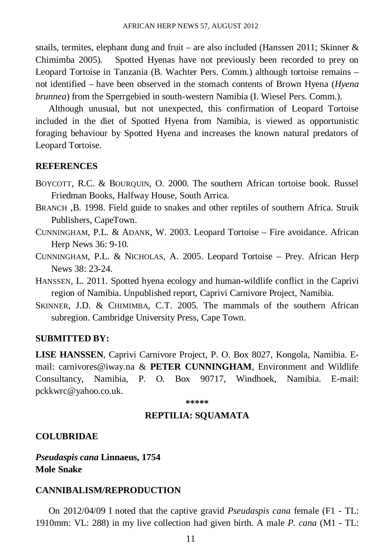snails, termites, elephant dung and fruit – are also included (Hanssen 2011; Skinner  $\&$ Chimimba 2005). Spotted Hyenas have not previously been recorded to prey on Leopard Tortoise in Tanzania (B. Wachter Pers. Comm.) although tortoise remains – not identified – have been observed in the stomach contents of Brown Hyena (*Hyena brunnea*) from the Sperrgebied in south-western Namibia (I. Wiesel Pers. Comm.).

Although unusual, but not unexpected, this confirmation of Leopard Tortoise included in the diet of Spotted Hyena from Namibia, is viewed as opportunistic foraging behaviour by Spotted Hyena and increases the known natural predators of Leopard Tortoise.

#### **REFERENCES**

- BOYCOTT, R.C. & BOURQUIN, O. 2000. The southern African tortoise book. Russel Friedman Books, Halfway House, South Arrica.
- BRANCH ,B. 1998. Field guide to snakes and other reptiles of southern Africa. Struik Publishers, CapeTown.
- CUNNINGHAM, P.L. & ADANK, W. 2003. Leopard Tortoise Fire avoidance. African Herp News 36: 9-10.
- CUNNINGHAM, P.L. & NICHOLAS, A. 2005. Leopard Tortoise Prey. African Herp News 38: 23-24.
- HANSSEN, L. 2011. Spotted hyena ecology and human-wildlife conflict in the Caprivi region of Namibia. Unpublished report, Caprivi Carnivore Project, Namibia.
- SKINNER, J.D. & CHIMIMBA, C.T. 2005. The mammals of the southern African subregion. Cambridge University Press, Cape Town.

#### **SUBMITTED BY:**

**LISE HANSSEN**, Caprivi Carnivore Project, P. O. Box 8027, Kongola, Namibia. Email: carnivores@iway.na & **PETER CUNNINGHAM**, Environment and Wildlife Consultancy, Namibia, P. O. Box 90717, Windhoek, Namibia. E-mail: pckkwrc@yahoo.co.uk.

**\*\*\*\*\*** 

## **REPTILIA: SQUAMATA**

#### **COLUBRIDAE**

*Pseudaspis cana* **Linnaeus, 1754 Mole Snake** 

## **CANNIBALISM/REPRODUCTION**

On 2012/04/09 I noted that the captive gravid *Pseudaspis cana* female (F1 - TL: 1910mm: VL: 288) in my live collection had given birth. A male *P. cana* (M1 - TL: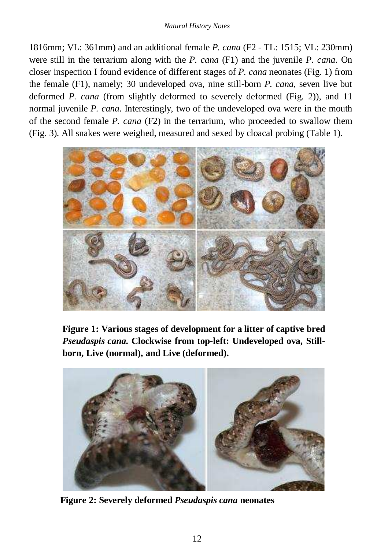#### *Natural History Notes*

1816mm; VL: 361mm) and an additional female *P. cana* (F2 - TL: 1515; VL: 230mm) were still in the terrarium along with the *P. cana* (F1) and the juvenile *P. cana*. On closer inspection I found evidence of different stages of *P. cana* neonates (Fig. 1) from the female (F1), namely; 30 undeveloped ova, nine still-born *P. cana*, seven live but deformed *P. cana* (from slightly deformed to severely deformed (Fig. 2)), and 11 normal juvenile *P. cana*. Interestingly, two of the undeveloped ova were in the mouth of the second female *P. cana* (F2) in the terrarium, who proceeded to swallow them (Fig. 3). All snakes were weighed, measured and sexed by cloacal probing (Table 1).



**Figure 1: Various stages of development for a litter of captive bred**  *Pseudaspis cana***. Clockwise from top-left: Undeveloped ova, Stillborn, Live (normal), and Live (deformed).** 



**Figure 2: Severely deformed** *Pseudaspis cana* **neonates**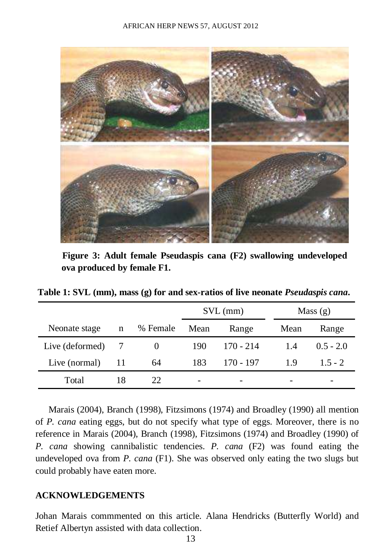

**Figure 3: Adult female Pseudaspis cana (F2) swallowing undeveloped ova produced by female F1.** 

**Table 1: SVL (mm), mass (g) for and sex-ratios of live neonate** *Pseudaspis cana***.** 

|                 |    |          | $SVL$ (mm) |             | Mass(g) |             |
|-----------------|----|----------|------------|-------------|---------|-------------|
| Neonate stage   | n  | % Female | Mean       | Range       | Mean    | Range       |
| Live (deformed) |    | $\theta$ | 190        | $170 - 214$ | 1.4     | $0.5 - 2.0$ |
| Live (normal)   | 11 | 64       | 183        | 170 - 197   | 1.9     | $15 - 2$    |
| Total           | 18 | 22       |            |             |         |             |

Marais (2004), Branch (1998), Fitzsimons (1974) and Broadley (1990) all mention of *P. cana* eating eggs, but do not specify what type of eggs. Moreover, there is no reference in Marais (2004), Branch (1998), Fitzsimons (1974) and Broadley (1990) of *P. cana* showing cannibalistic tendencies. *P. cana* (F2) was found eating the undeveloped ova from *P. cana* (F1). She was observed only eating the two slugs but could probably have eaten more.

#### **ACKNOWLEDGEMENTS**

Johan Marais commmented on this article. Alana Hendricks (Butterfly World) and Retief Albertyn assisted with data collection.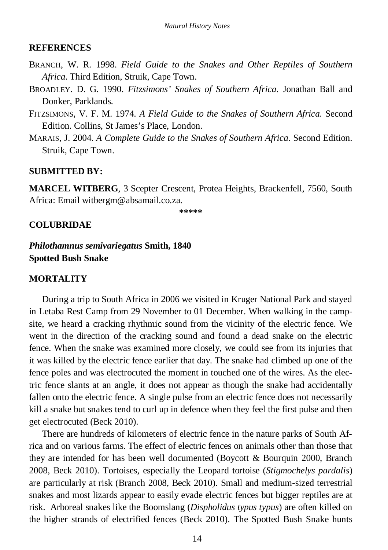## **REFERENCES**

- BRANCH, W. R. 1998. *Field Guide to the Snakes and Other Reptiles of Southern Africa*. Third Edition, Struik, Cape Town.
- BROADLEY. D. G. 1990. *Fitzsimons' Snakes of Southern Africa*. Jonathan Ball and Donker, Parklands.
- FITZSIMONS, V. F. M. 1974. *A Field Guide to the Snakes of Southern Africa.* Second Edition. Collins, St James's Place, London.
- MARAIS, J. 2004. *A Complete Guide to the Snakes of Southern Africa*. Second Edition. Struik, Cape Town.

## **SUBMITTED BY:**

**MARCEL WITBERG**, 3 Scepter Crescent, Protea Heights, Brackenfell, 7560, South Africa: Email witbergm@absamail.co.za.

**\*\*\*\*\*** 

## **COLUBRIDAE**

*Philothamnus semivariegatus* **Smith, 1840 Spotted Bush Snake** 

## **MORTALITY**

During a trip to South Africa in 2006 we visited in Kruger National Park and stayed in Letaba Rest Camp from 29 November to 01 December. When walking in the campsite, we heard a cracking rhythmic sound from the vicinity of the electric fence. We went in the direction of the cracking sound and found a dead snake on the electric fence. When the snake was examined more closely, we could see from its injuries that it was killed by the electric fence earlier that day. The snake had climbed up one of the fence poles and was electrocuted the moment in touched one of the wires. As the electric fence slants at an angle, it does not appear as though the snake had accidentally fallen onto the electric fence. A single pulse from an electric fence does not necessarily kill a snake but snakes tend to curl up in defence when they feel the first pulse and then get electrocuted (Beck 2010).

There are hundreds of kilometers of electric fence in the nature parks of South Africa and on various farms. The effect of electric fences on animals other than those that they are intended for has been well documented (Boycott & Bourquin 2000, Branch 2008, Beck 2010). Tortoises, especially the Leopard tortoise (*Stigmochelys pardalis*) are particularly at risk (Branch 2008, Beck 2010). Small and medium-sized terrestrial snakes and most lizards appear to easily evade electric fences but bigger reptiles are at risk. Arboreal snakes like the Boomslang (*Dispholidus typus typus*) are often killed on the higher strands of electrified fences (Beck 2010). The Spotted Bush Snake hunts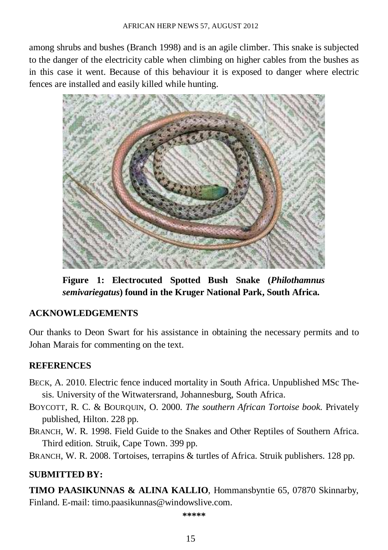among shrubs and bushes (Branch 1998) and is an agile climber. This snake is subjected to the danger of the electricity cable when climbing on higher cables from the bushes as in this case it went. Because of this behaviour it is exposed to danger where electric fences are installed and easily killed while hunting.



**Figure 1: Electrocuted Spotted Bush Snake (***Philothamnus semivariegatus***) found in the Kruger National Park, South Africa.** 

## **ACKNOWLEDGEMENTS**

Our thanks to Deon Swart for his assistance in obtaining the necessary permits and to Johan Marais for commenting on the text.

## **REFERENCES**

- BECK, A. 2010. Electric fence induced mortality in South Africa. Unpublished MSc Thesis. University of the Witwatersrand, Johannesburg, South Africa.
- BOYCOTT, R. C. & BOURQUIN, O. 2000. *The southern African Tortoise book*. Privately published, Hilton. 228 pp.
- BRANCH, W. R. 1998. Field Guide to the Snakes and Other Reptiles of Southern Africa. Third edition. Struik, Cape Town. 399 pp.
- BRANCH, W. R. 2008. Tortoises, terrapins & turtles of Africa. Struik publishers. 128 pp.

## **SUBMITTED BY:**

**TIMO PAASIKUNNAS & ALINA KALLIO**, Hommansbyntie 65, 07870 Skinnarby, Finland. E-mail: timo.paasikunnas@windowslive.com.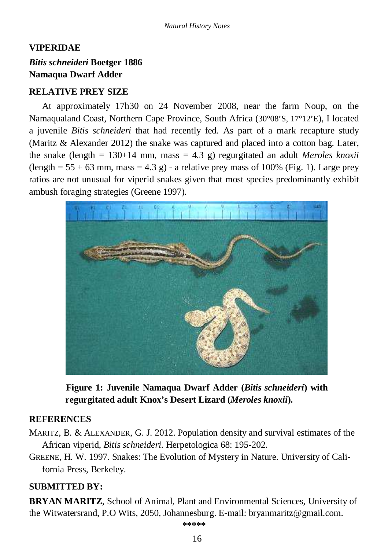## **VIPERIDAE**  *Bitis schneideri* **Boetger 1886 Namaqua Dwarf Adder**

## **RELATIVE PREY SIZE**

At approximately 17h30 on 24 November 2008, near the farm Noup, on the Namaqualand Coast, Northern Cape Province, South Africa (30°08'S, 17°12'E), I located a juvenile *Bitis schneideri* that had recently fed. As part of a mark recapture study (Maritz & Alexander 2012) the snake was captured and placed into a cotton bag. Later, the snake (length  $= 130+14$  mm, mass  $= 4.3$  g) regurgitated an adult *Meroles knoxii*  $(\text{length} = 55 + 63 \text{ mm}, \text{mass} = 4.3 \text{ g})$  - a relative prey mass of 100% (Fig. 1). Large prey ratios are not unusual for viperid snakes given that most species predominantly exhibit ambush foraging strategies (Greene 1997).



**Figure 1: Juvenile Namaqua Dwarf Adder (***Bitis schneideri***) with regurgitated adult Knox's Desert Lizard (***Meroles knoxii***).** 

## **REFERENCES**

MARITZ, B. & ALEXANDER, G. J. 2012. Population density and survival estimates of the African viperid, *Bitis schneideri*. Herpetologica 68: 195-202.

GREENE, H. W. 1997. Snakes: The Evolution of Mystery in Nature. University of California Press, Berkeley.

## **SUBMITTED BY:**

**BRYAN MARITZ**, School of Animal, Plant and Environmental Sciences, University of the Witwatersrand, P.O Wits, 2050, Johannesburg. E-mail: bryanmaritz@gmail.com.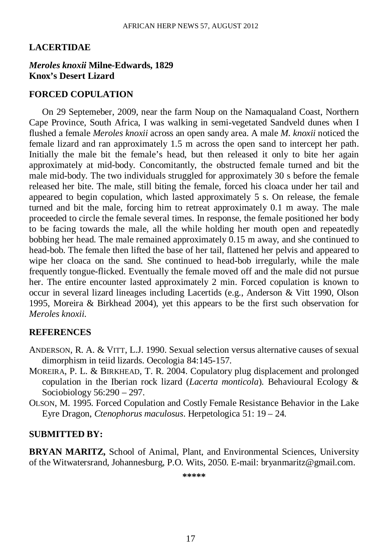## **LACERTIDAE**

#### *Meroles knoxii* **Milne-Edwards, 1829 Knox's Desert Lizard**

#### **FORCED COPULATION**

On 29 Septemeber, 2009, near the farm Noup on the Namaqualand Coast, Northern Cape Province, South Africa, I was walking in semi-vegetated Sandveld dunes when I flushed a female *Meroles knoxii* across an open sandy area. A male *M. knoxii* noticed the female lizard and ran approximately 1.5 m across the open sand to intercept her path. Initially the male bit the female's head, but then released it only to bite her again approximately at mid-body. Concomitantly, the obstructed female turned and bit the male mid-body. The two individuals struggled for approximately 30 s before the female released her bite. The male, still biting the female, forced his cloaca under her tail and appeared to begin copulation, which lasted approximately 5 s. On release, the female turned and bit the male, forcing him to retreat approximately 0.1 m away. The male proceeded to circle the female several times. In response, the female positioned her body to be facing towards the male, all the while holding her mouth open and repeatedly bobbing her head. The male remained approximately 0.15 m away, and she continued to head-bob. The female then lifted the base of her tail, flattened her pelvis and appeared to wipe her cloaca on the sand. She continued to head-bob irregularly, while the male frequently tongue-flicked. Eventually the female moved off and the male did not pursue her. The entire encounter lasted approximately 2 min. Forced copulation is known to occur in several lizard lineages including Lacertids (e.g., Anderson & Vitt 1990, Olson 1995, Moreira & Birkhead 2004), yet this appears to be the first such observation for *Meroles knoxii*.

#### **REFERENCES**

- ANDERSON, R. A. & VITT, L.J. 1990. Sexual selection versus alternative causes of sexual dimorphism in teiid lizards. Oecologia 84:145-157.
- MOREIRA, P. L. & BIRKHEAD, T. R. 2004. Copulatory plug displacement and prolonged copulation in the Iberian rock lizard (*Lacerta monticola*). Behavioural Ecology & Sociobiology 56:290 – 297.
- OLSON, M. 1995. Forced Copulation and Costly Female Resistance Behavior in the Lake Eyre Dragon, *Ctenophorus maculosus*. Herpetologica 51: 19 – 24.

#### **SUBMITTED BY:**

**BRYAN MARITZ,** School of Animal, Plant, and Environmental Sciences, University of the Witwatersrand, Johannesburg, P.O. Wits, 2050. E-mail: bryanmaritz@gmail.com.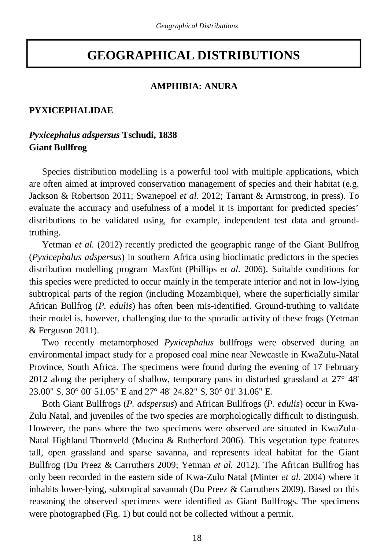# **GEOGRAPHICAL DISTRIBUTIONS**

#### **AMPHIBIA: ANURA**

## **PYXICEPHALIDAE**

## *Pyxicephalus adspersus* **Tschudi, 1838 Giant Bullfrog**

Species distribution modelling is a powerful tool with multiple applications, which are often aimed at improved conservation management of species and their habitat (e.g. Jackson & Robertson 2011; Swanepoel *et al.* 2012; Tarrant & Armstrong, in press). To evaluate the accuracy and usefulness of a model it is important for predicted species' distributions to be validated using, for example, independent test data and groundtruthing.

Yetman *et al*. (2012) recently predicted the geographic range of the Giant Bullfrog (*Pyxicephalus adspersus*) in southern Africa using bioclimatic predictors in the species distribution modelling program MaxEnt (Phillips *et al*. 2006). Suitable conditions for this species were predicted to occur mainly in the temperate interior and not in low-lying subtropical parts of the region (including Mozambique), where the superficially similar African Bullfrog (*P. edulis*) has often been mis-identified. Ground-truthing to validate their model is, however, challenging due to the sporadic activity of these frogs (Yetman & Ferguson 2011).

Two recently metamorphosed *Pyxicephalus* bullfrogs were observed during an environmental impact study for a proposed coal mine near Newcastle in KwaZulu-Natal Province, South Africa. The specimens were found during the evening of 17 February 2012 along the periphery of shallow, temporary pans in disturbed grassland at 27° 48' 23.00" S, 30° 00' 51.05" E and 27° 48' 24.82" S, 30° 01' 31.06" E.

Both Giant Bullfrogs (*P. adspersus*) and African Bullfrogs (*P. edulis*) occur in Kwa-Zulu Natal, and juveniles of the two species are morphologically difficult to distinguish. However, the pans where the two specimens were observed are situated in KwaZulu-Natal Highland Thornveld (Mucina & Rutherford 2006). This vegetation type features tall, open grassland and sparse savanna, and represents ideal habitat for the Giant Bullfrog (Du Preez & Carruthers 2009; Yetman *et al.* 2012). The African Bullfrog has only been recorded in the eastern side of Kwa-Zulu Natal (Minter *et al.* 2004) where it inhabits lower-lying, subtropical savannah (Du Preez & Carruthers 2009). Based on this reasoning the observed specimens were identified as Giant Bullfrogs. The specimens were photographed (Fig. 1) but could not be collected without a permit.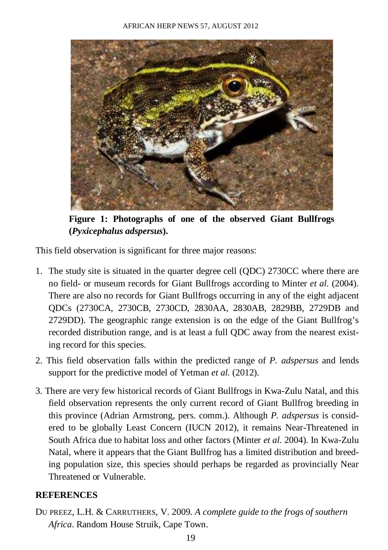

**Figure 1: Photographs of one of the observed Giant Bullfrogs (***Pyxicephalus adspersus***).** 

This field observation is significant for three major reasons:

- 1. The study site is situated in the quarter degree cell (QDC) 2730CC where there are no field- or museum records for Giant Bullfrogs according to Minter *et al*. (2004). There are also no records for Giant Bullfrogs occurring in any of the eight adjacent QDCs (2730CA, 2730CB, 2730CD, 2830AA, 2830AB, 2829BB, 2729DB and 2729DD). The geographic range extension is on the edge of the Giant Bullfrog's recorded distribution range, and is at least a full QDC away from the nearest existing record for this species.
- 2. This field observation falls within the predicted range of *P. adspersus* and lends support for the predictive model of Yetman *et al.* (2012).
- 3. There are very few historical records of Giant Bullfrogs in Kwa-Zulu Natal, and this field observation represents the only current record of Giant Bullfrog breeding in this province (Adrian Armstrong, pers. comm.). Although *P. adspersus* is considered to be globally Least Concern (IUCN 2012), it remains Near-Threatened in South Africa due to habitat loss and other factors (Minter *et al.* 2004). In Kwa-Zulu Natal, where it appears that the Giant Bullfrog has a limited distribution and breeding population size, this species should perhaps be regarded as provincially Near Threatened or Vulnerable.

## **REFERENCES**

DU PREEZ, L.H. & CARRUTHERS, V. 2009. *A complete guide to the frogs of southern Africa*. Random House Struik, Cape Town.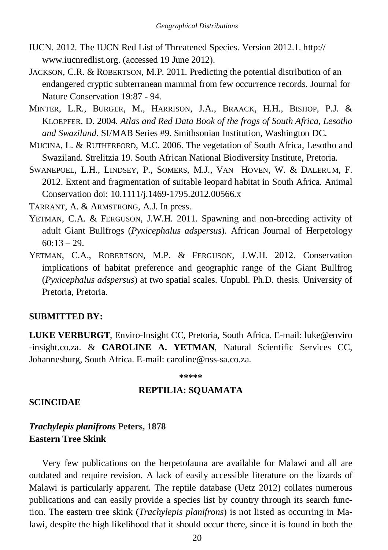- IUCN. 2012. The IUCN Red List of Threatened Species. Version 2012.1. http:// www.iucnredlist.org. (accessed 19 June 2012).
- JACKSON, C.R. & ROBERTSON, M.P. 2011. Predicting the potential distribution of an endangered cryptic subterranean mammal from few occurrence records. Journal for Nature Conservation 19:87 - 94.
- MINTER, L.R., BURGER, M., HARRISON, J.A., BRAACK, H.H., BISHOP, P.J. & KLOEPFER, D. 2004. *Atlas and Red Data Book of the frogs of South Africa, Lesotho and Swaziland*. SI/MAB Series #9. Smithsonian Institution, Washington DC.
- MUCINA, L. & RUTHERFORD, M.C. 2006. The vegetation of South Africa, Lesotho and Swaziland. Strelitzia 19. South African National Biodiversity Institute, Pretoria.
- SWANEPOEL, L.H., LINDSEY, P., SOMERS, M.J., VAN HOVEN, W. & DALERUM, F. 2012. Extent and fragmentation of suitable leopard habitat in South Africa. Animal Conservation doi: 10.1111/j.1469-1795.2012.00566.x

TARRANT, A. & ARMSTRONG, A.J. In press.

- YETMAN, C.A. & FERGUSON, J.W.H. 2011. Spawning and non-breeding activity of adult Giant Bullfrogs (*Pyxicephalus adspersus*). African Journal of Herpetology  $60:13 - 29$ .
- YETMAN, C.A., ROBERTSON, M.P. & FERGUSON, J.W.H. 2012. Conservation implications of habitat preference and geographic range of the Giant Bullfrog (*Pyxicephalus adspersus*) at two spatial scales. Unpubl. Ph.D. thesis. University of Pretoria, Pretoria.

#### **SUBMITTED BY:**

**LUKE VERBURGT**, Enviro-Insight CC, Pretoria, South Africa. E-mail: luke@enviro -insight.co.za. & **CAROLINE A. YETMAN**, Natural Scientific Services CC, Johannesburg, South Africa. E-mail: caroline@nss-sa.co.za.

#### **\*\*\*\*\***

#### **REPTILIA: SQUAMATA**

#### **SCINCIDAE**

## *Trachylepis planifrons* **Peters, 1878 Eastern Tree Skink**

Very few publications on the herpetofauna are available for Malawi and all are outdated and require revision. A lack of easily accessible literature on the lizards of Malawi is particularly apparent. The reptile database (Uetz 2012) collates numerous publications and can easily provide a species list by country through its search function. The eastern tree skink (*Trachylepis planifrons*) is not listed as occurring in Malawi, despite the high likelihood that it should occur there, since it is found in both the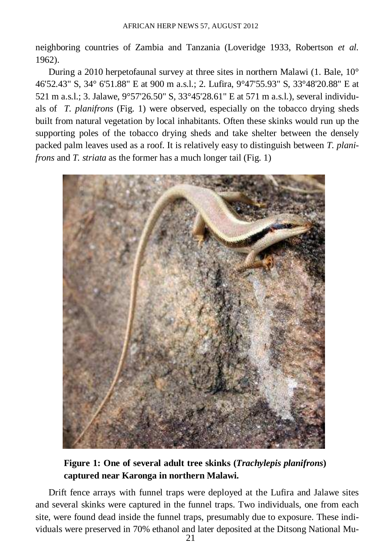neighboring countries of Zambia and Tanzania (Loveridge 1933, Robertson *et al.*  1962).

During a 2010 herpetofaunal survey at three sites in northern Malawi (1. Bale, 10° 46'52.43" S, 34° 6'51.88" E at 900 m a.s.l.; 2. Lufira, 9°47'55.93" S, 33°48'20.88" E at 521 m a.s.l.; 3. Jalawe, 9°57'26.50" S, 33°45'28.61" E at 571 m a.s.l.), several individuals of *T. planifrons* (Fig. 1) were observed, especially on the tobacco drying sheds built from natural vegetation by local inhabitants. Often these skinks would run up the supporting poles of the tobacco drying sheds and take shelter between the densely packed palm leaves used as a roof. It is relatively easy to distinguish between *T. planifrons* and *T. striata* as the former has a much longer tail (Fig. 1)



**Figure 1: One of several adult tree skinks (***Trachylepis planifrons***) captured near Karonga in northern Malawi.** 

Drift fence arrays with funnel traps were deployed at the Lufira and Jalawe sites and several skinks were captured in the funnel traps. Two individuals, one from each site, were found dead inside the funnel traps, presumably due to exposure. These individuals were preserved in 70% ethanol and later deposited at the Ditsong National Mu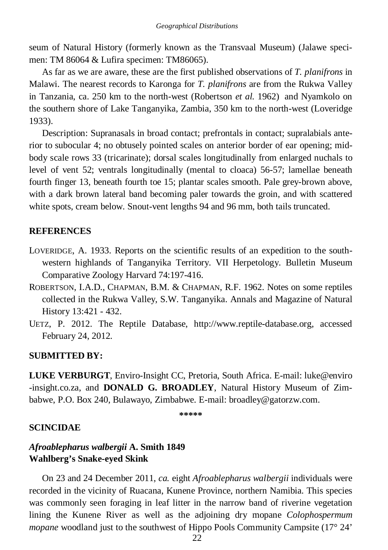seum of Natural History (formerly known as the Transvaal Museum) (Jalawe specimen: TM 86064 & Lufira specimen: TM86065).

As far as we are aware, these are the first published observations of *T. planifrons* in Malawi. The nearest records to Karonga for *T. planifrons* are from the Rukwa Valley in Tanzania, ca. 250 km to the north-west (Robertson *et al.* 1962) and Nyamkolo on the southern shore of Lake Tanganyika, Zambia, 350 km to the north-west (Loveridge 1933).

Description: Supranasals in broad contact; prefrontals in contact; supralabials anterior to subocular 4; no obtusely pointed scales on anterior border of ear opening; midbody scale rows 33 (tricarinate); dorsal scales longitudinally from enlarged nuchals to level of vent 52; ventrals longitudinally (mental to cloaca) 56-57; lamellae beneath fourth finger 13, beneath fourth toe 15; plantar scales smooth. Pale grey-brown above, with a dark brown lateral band becoming paler towards the groin, and with scattered white spots, cream below. Snout-vent lengths 94 and 96 mm, both tails truncated.

## **REFERENCES**

- LOVERIDGE, A. 1933. Reports on the scientific results of an expedition to the southwestern highlands of Tanganyika Territory. VII Herpetology. Bulletin Museum Comparative Zoology Harvard 74:197-416.
- ROBERTSON, I.A.D., CHAPMAN, B.M. & CHAPMAN, R.F. 1962. Notes on some reptiles collected in the Rukwa Valley, S.W. Tanganyika. Annals and Magazine of Natural History 13:421 - 432.
- UETZ, P. 2012. The Reptile Database, http://www.reptile-database.org, accessed February 24, 2012.

## **SUBMITTED BY:**

**LUKE VERBURGT**, Enviro-Insight CC, Pretoria, South Africa. E-mail: luke@enviro -insight.co.za, and **DONALD G. BROADLEY**, Natural History Museum of Zimbabwe, P.O. Box 240, Bulawayo, Zimbabwe. E-mail: broadley@gatorzw.com.

**\*\*\*\*\*** 

## **SCINCIDAE**

## *Afroablepharus walbergii* **A. Smith 1849 Wahlberg's Snake-eyed Skink**

On 23 and 24 December 2011, *ca.* eight *Afroablepharus walbergii* individuals were recorded in the vicinity of Ruacana, Kunene Province, northern Namibia. This species was commonly seen foraging in leaf litter in the narrow band of riverine vegetation lining the Kunene River as well as the adjoining dry mopane *Colophospermum mopane* woodland just to the southwest of Hippo Pools Community Campsite (17° 24'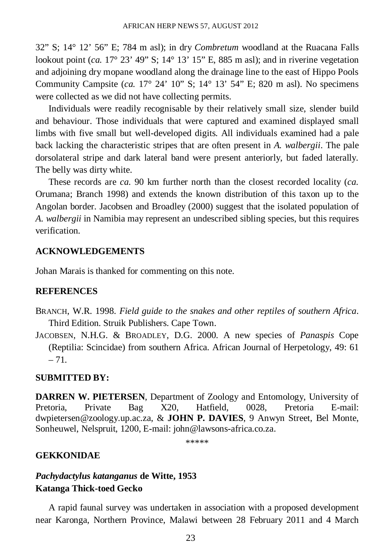32" S; 14° 12' 56" E; 784 m asl); in dry *Combretum* woodland at the Ruacana Falls lookout point  $(ca. 17^{\circ} 23' 49'' S$ ;  $14^{\circ} 13' 15'' E$ , 885 m asl); and in riverine vegetation and adjoining dry mopane woodland along the drainage line to the east of Hippo Pools Community Campsite (*ca.* 17° 24' 10" S; 14° 13' 54" E; 820 m asl). No specimens were collected as we did not have collecting permits.

Individuals were readily recognisable by their relatively small size, slender build and behaviour. Those individuals that were captured and examined displayed small limbs with five small but well-developed digits. All individuals examined had a pale back lacking the characteristic stripes that are often present in *A. walbergii*. The pale dorsolateral stripe and dark lateral band were present anteriorly, but faded laterally. The belly was dirty white.

These records are *ca*. 90 km further north than the closest recorded locality (*ca.* Orumana; Branch 1998) and extends the known distribution of this taxon up to the Angolan border. Jacobsen and Broadley (2000) suggest that the isolated population of *A. walbergii* in Namibia may represent an undescribed sibling species, but this requires verification.

## **ACKNOWLEDGEMENTS**

Johan Marais is thanked for commenting on this note.

## **REFERENCES**

- BRANCH, W.R. 1998. *Field guide to the snakes and other reptiles of southern Africa*. Third Edition. Struik Publishers. Cape Town.
- JACOBSEN, N.H.G. & BROADLEY, D.G. 2000. A new species of *Panaspis* Cope (Reptilia: Scincidae) from southern Africa. African Journal of Herpetology, 49: 61  $-71.$

## **SUBMITTED BY:**

**DARREN W. PIETERSEN**, Department of Zoology and Entomology, University of Pretoria, Private Bag X20, Hatfield, 0028, Pretoria E-mail: dwpietersen@zoology.up.ac.za, & **JOHN P. DAVIES**, 9 Anwyn Street, Bel Monte, Sonheuwel, Nelspruit, 1200, E-mail: john@lawsons-africa.co.za.

\*\*\*\*\*

## **GEKKONIDAE**

## *Pachydactylus katanganus* **de Witte, 1953 Katanga Thick-toed Gecko**

A rapid faunal survey was undertaken in association with a proposed development near Karonga, Northern Province, Malawi between 28 February 2011 and 4 March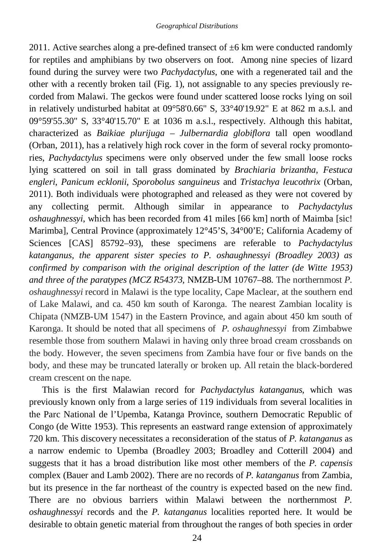2011. Active searches along a pre-defined transect of  $\pm 6$  km were conducted randomly for reptiles and amphibians by two observers on foot. Among nine species of lizard found during the survey were two *Pachydactylus*, one with a regenerated tail and the other with a recently broken tail (Fig. 1), not assignable to any species previously recorded from Malawi. The geckos were found under scattered loose rocks lying on soil in relatively undisturbed habitat at 09°58'0.66" S, 33°40'19.92" E at 862 m a.s.l. and 09°59'55.30" S, 33°40'15.70" E at 1036 m a.s.l., respectively. Although this habitat, characterized as *Baikiae plurijuga* – *Julbernardia globiflora* tall open woodland (Orban, 2011), has a relatively high rock cover in the form of several rocky promontories, *Pachydactylus* specimens were only observed under the few small loose rocks lying scattered on soil in tall grass dominated by *Brachiaria brizantha*, *Festuca engleri*, *Panicum ecklonii*, *Sporobolus sanguineus* and *Tristachya leucothrix* (Orban, 2011). Both individuals were photographed and released as they were not covered by any collecting permit. Although similar in appearance to *Pachydactylus oshaughnessyi*, which has been recorded from 41 miles [66 km] north of Maimba [sic! Marimba], Central Province (approximately 12°45'S, 34°00'E; California Academy of Sciences [CAS] 85792–93), these specimens are referable to *Pachydactylus katanganus, the apparent sister species to P. oshaughnessyi (Broadley 2003) as confirmed by comparison with the original description of the latter (de Witte 1953) and three of the paratypes (MCZ R54373,* NMZB-UM 10767–88*.* The northernmost *P. oshaughnessyi* record in Malawi is the type locality, Cape Maclear, at the southern end of Lake Malawi, and ca. 450 km south of Karonga. The nearest Zambian locality is Chipata (NMZB-UM 1547) in the Eastern Province, and again about 450 km south of Karonga. It should be noted that all specimens of *P. oshaughnessyi* from Zimbabwe resemble those from southern Malawi in having only three broad cream crossbands on the body. However, the seven specimens from Zambia have four or five bands on the body, and these may be truncated laterally or broken up. All retain the black-bordered cream crescent on the nape.

This is the first Malawian record for *Pachydactylus katanganus*, which was previously known only from a large series of 119 individuals from several localities in the Parc National de l'Upemba, Katanga Province, southern Democratic Republic of Congo (de Witte 1953). This represents an eastward range extension of approximately 720 km. This discovery necessitates a reconsideration of the status of *P. katanganus* as a narrow endemic to Upemba (Broadley 2003; Broadley and Cotterill 2004) and suggests that it has a broad distribution like most other members of the *P. capensis* complex (Bauer and Lamb 2002). There are no records of *P. katanganus* from Zambia, but its presence in the far northeast of the country is expected based on the new find. There are no obvious barriers within Malawi between the northernmost *P. oshaughnessyi* records and the *P. katanganus* localities reported here. It would be desirable to obtain genetic material from throughout the ranges of both species in order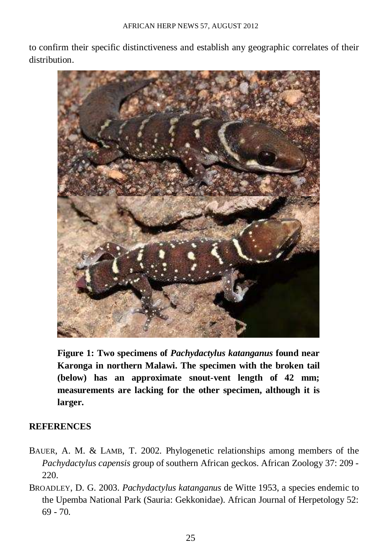to confirm their specific distinctiveness and establish any geographic correlates of their distribution.



**Figure 1: Two specimens of** *Pachydactylus katanganus* **found near Karonga in northern Malawi. The specimen with the broken tail (below) has an approximate snout-vent length of 42 mm; measurements are lacking for the other specimen, although it is larger.** 

## **REFERENCES**

- BAUER, A. M. & LAMB, T. 2002. Phylogenetic relationships among members of the *Pachydactylus capensis* group of southern African geckos. African Zoology 37: 209 - 220.
- BROADLEY, D. G. 2003. *Pachydactylus katanganus* de Witte 1953, a species endemic to the Upemba National Park (Sauria: Gekkonidae). African Journal of Herpetology 52: 69 - 70.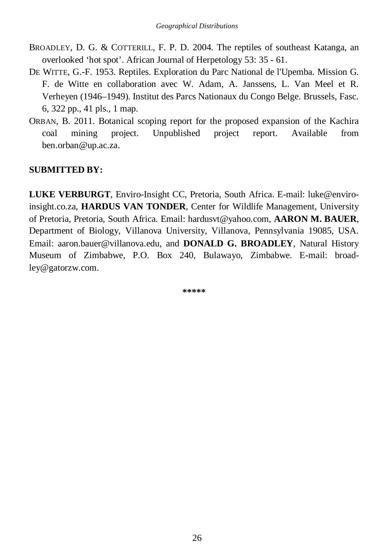- BROADLEY, D. G. & COTTERILL, F. P. D. 2004. The reptiles of southeast Katanga, an overlooked 'hot spot'. African Journal of Herpetology 53: 35 - 61.
- DE WITTE, G.-F. 1953. Reptiles. Exploration du Parc National de l'Upemba. Mission G. F. de Witte en collaboration avec W. Adam, A. Janssens, L. Van Meel et R. Verheyen (1946–1949). Institut des Parcs Nationaux du Congo Belge. Brussels, Fasc. 6, 322 pp., 41 pls., 1 map.
- ORBAN, B. 2011. Botanical scoping report for the proposed expansion of the Kachira coal mining project. Unpublished project report. Available from ben.orban@up.ac.za.

## **SUBMITTED BY:**

**LUKE VERBURGT**, Enviro-Insight CC, Pretoria, South Africa. E-mail: luke@enviroinsight.co.za, **HARDUS VAN TONDER**, Center for Wildlife Management, University of Pretoria, Pretoria, South Africa. Email: hardusvt@yahoo.com, **AARON M. BAUER**, Department of Biology, Villanova University, Villanova, Pennsylvania 19085, USA. Email: aaron.bauer@villanova.edu, and **DONALD G. BROADLEY**, Natural History Museum of Zimbabwe, P.O. Box 240, Bulawayo, Zimbabwe. E-mail: broadley@gatorzw.com.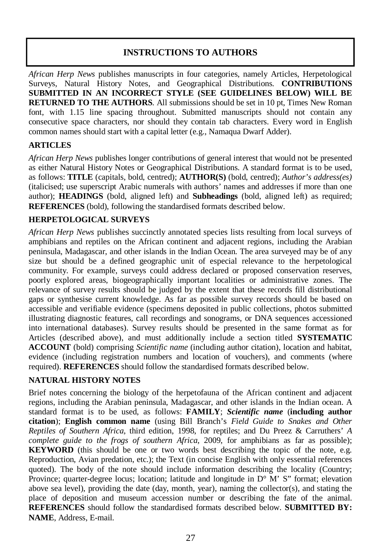## **INSTRUCTIONS TO AUTHORS**

*African Herp News* publishes manuscripts in four categories, namely Articles, Herpetological Surveys, Natural History Notes, and Geographical Distributions. **CONTRIBUTIONS SUBMITTED IN AN INCORRECT STYLE (SEE GUIDELINES BELOW) WILL BE RETURNED TO THE AUTHORS**. All submissions should be set in 10 pt, Times New Roman font, with 1.15 line spacing throughout. Submitted manuscripts should not contain any consecutive space characters, nor should they contain tab characters. Every word in English common names should start with a capital letter (e.g., Namaqua Dwarf Adder).

## **ARTICLES**

*African Herp News* publishes longer contributions of general interest that would not be presented as either Natural History Notes or Geographical Distributions. A standard format is to be used, as follows: **TITLE** (capitals, bold, centred); **AUTHOR(S)** (bold, centred); *Author's address(es)* (italicised; use superscript Arabic numerals with authors' names and addresses if more than one author); **HEADINGS** (bold, aligned left) and **Subheadings** (bold, aligned left) as required; **REFERENCES** (bold), following the standardised formats described below.

## **HERPETOLOGICAL SURVEYS**

*African Herp News* publishes succinctly annotated species lists resulting from local surveys of amphibians and reptiles on the African continent and adjacent regions, including the Arabian peninsula, Madagascar, and other islands in the Indian Ocean. The area surveyed may be of any size but should be a defined geographic unit of especial relevance to the herpetological community. For example, surveys could address declared or proposed conservation reserves, poorly explored areas, biogeographically important localities or administrative zones. The relevance of survey results should be judged by the extent that these records fill distributional gaps or synthesise current knowledge. As far as possible survey records should be based on accessible and verifiable evidence (specimens deposited in public collections, photos submitted illustrating diagnostic features, call recordings and sonograms, or DNA sequences accessioned into international databases). Survey results should be presented in the same format as for Articles (described above), and must additionally include a section titled **SYSTEMATIC ACCOUNT** (bold) comprising *Scientific name* (including author citation), location and habitat, evidence (including registration numbers and location of vouchers), and comments (where required). **REFERENCES** should follow the standardised formats described below.

## **NATURAL HISTORY NOTES**

Brief notes concerning the biology of the herpetofauna of the African continent and adjacent regions, including the Arabian peninsula, Madagascar, and other islands in the Indian ocean. A standard format is to be used, as follows: **FAMILY**; *Scientific name* (**including author citation**); **English common name** (using Bill Branch's *Field Guide to Snakes and Other Reptiles of Southern Africa*, third edition, 1998, for reptiles; and Du Preez & Carruthers' *A complete guide to the frogs of southern Africa*, 2009, for amphibians as far as possible); **KEYWORD** (this should be one or two words best describing the topic of the note, e.g. Reproduction, Avian predation, etc.); the Text (in concise English with only essential references quoted). The body of the note should include information describing the locality (Country; Province; quarter-degree locus; location; latitude and longitude in  $D^{\circ}$  M' S" format; elevation above sea level), providing the date (day, month, year), naming the collector(s), and stating the place of deposition and museum accession number or describing the fate of the animal. **REFERENCES** should follow the standardised formats described below. **SUBMITTED BY: NAME**, Address, E-mail.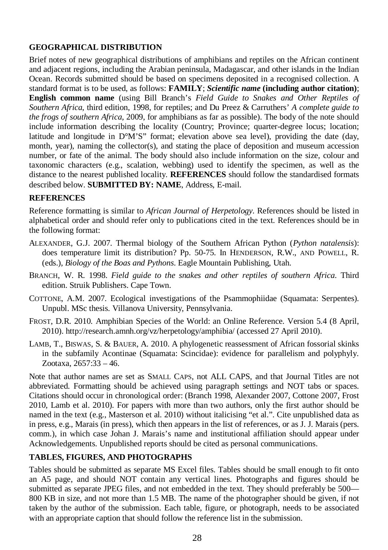## **GEOGRAPHICAL DISTRIBUTION**

Brief notes of new geographical distributions of amphibians and reptiles on the African continent and adjacent regions, including the Arabian peninsula, Madagascar, and other islands in the Indian Ocean. Records submitted should be based on specimens deposited in a recognised collection. A standard format is to be used, as follows: **FAMILY**; *Scientific name* **(including author citation)**; **English common name** (using Bill Branch's *Field Guide to Snakes and Other Reptiles of Southern Africa*, third edition, 1998, for reptiles; and Du Preez & Carruthers' *A complete guide to the frogs of southern Africa*, 2009, for amphibians as far as possible). The body of the note should include information describing the locality (Country; Province; quarter-degree locus; location; latitude and longitude in D°M'S" format; elevation above sea level), providing the date (day, month, year), naming the collector(s), and stating the place of deposition and museum accession number, or fate of the animal. The body should also include information on the size, colour and taxonomic characters (e.g., scalation, webbing) used to identify the specimen, as well as the distance to the nearest published locality. **REFERENCES** should follow the standardised formats described below. **SUBMITTED BY: NAME**, Address, E-mail.

## **REFERENCES**

Reference formatting is similar to *African Journal of Herpetology*. References should be listed in alphabetical order and should refer only to publications cited in the text. References should be in the following format:

- ALEXANDER, G.J. 2007. Thermal biology of the Southern African Python (*Python natalensis*): does temperature limit its distribution? Pp. 50-75. In HENDERSON, R.W., AND POWELL, R. (eds.), *Biology of the Boas and Pythons*. Eagle Mountain Publishing, Utah.
- BRANCH, W. R. 1998. *Field guide to the snakes and other reptiles of southern Africa*. Third edition. Struik Publishers. Cape Town.
- COTTONE, A.M. 2007. Ecological investigations of the Psammophiidae (Squamata: Serpentes). Unpubl. MSc thesis. Villanova University, Pennsylvania.
- FROST, D.R. 2010. Amphibian Species of the World: an Online Reference. Version 5.4 (8 April, 2010). http://research.amnh.org/vz/herpetology/amphibia/ (accessed 27 April 2010).
- LAMB, T., BISWAS, S. & BAUER, A. 2010. A phylogenetic reassessment of African fossorial skinks in the subfamily Acontinae (Squamata: Scincidae): evidence for parallelism and polyphyly. Zootaxa, 2657:33 – 46.

Note that author names are set as SMALL CAPS, not ALL CAPS, and that Journal Titles are not abbreviated. Formatting should be achieved using paragraph settings and NOT tabs or spaces. Citations should occur in chronological order: (Branch 1998, Alexander 2007, Cottone 2007, Frost 2010, Lamb et al. 2010). For papers with more than two authors, only the first author should be named in the text (e.g., Masterson et al. 2010) without italicising "et al.". Cite unpublished data as in press, e.g., Marais (in press), which then appears in the list of references, or as J. J. Marais (pers. comm.), in which case Johan J. Marais's name and institutional affiliation should appear under Acknowledgements. Unpublished reports should be cited as personal communications.

## **TABLES, FIGURES, AND PHOTOGRAPHS**

Tables should be submitted as separate MS Excel files. Tables should be small enough to fit onto an A5 page, and should NOT contain any vertical lines. Photographs and figures should be submitted as separate JPEG files, and not embedded in the text. They should preferably be 500— 800 KB in size, and not more than 1.5 MB. The name of the photographer should be given, if not taken by the author of the submission. Each table, figure, or photograph, needs to be associated with an appropriate caption that should follow the reference list in the submission.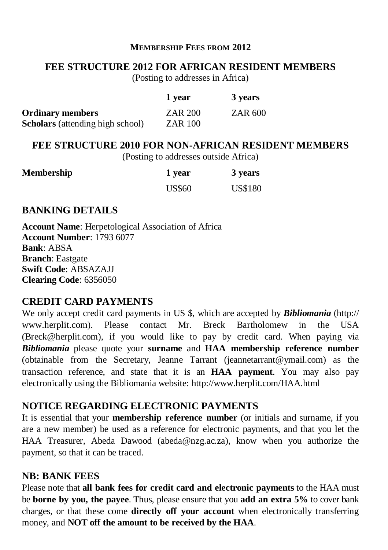## **MEMBERSHIP FEES FROM 2012**

## **FEE STRUCTURE 2012 FOR AFRICAN RESIDENT MEMBERS**

(Posting to addresses in Africa)

|                                         | 1 year         | 3 years |
|-----------------------------------------|----------------|---------|
| <b>Ordinary members</b>                 | ZAR 200        | ZAR 600 |
| <b>Scholars</b> (attending high school) | <b>ZAR 100</b> |         |

## **FEE STRUCTURE 2010 FOR NON-AFRICAN RESIDENT MEMBERS**

(Posting to addresses outside Africa)

| Membership | 1 year        | 3 years        |
|------------|---------------|----------------|
|            | <b>US\$60</b> | <b>US\$180</b> |

## **BANKING DETAILS**

**Account Name**: Herpetological Association of Africa **Account Number**: 1793 6077 **Bank**: ABSA **Branch**: Eastgate **Swift Code**: ABSAZAJJ **Clearing Code**: 6356050

## **CREDIT CARD PAYMENTS**

We only accept credit card payments in US \$, which are accepted by *Bibliomania* (http:// www.herplit.com). Please contact Mr. Breck Bartholomew in the USA (Breck@herplit.com), if you would like to pay by credit card. When paying via *Bibliomania* please quote your **surname** and **HAA membership reference number** (obtainable from the Secretary, Jeanne Tarrant (jeannetarrant@ymail.com) as the transaction reference, and state that it is an **HAA payment**. You may also pay electronically using the Bibliomania website: http://www.herplit.com/HAA.html

## **NOTICE REGARDING ELECTRONIC PAYMENTS**

It is essential that your **membership reference number** (or initials and surname, if you are a new member) be used as a reference for electronic payments, and that you let the HAA Treasurer, Abeda Dawood (abeda@nzg.ac.za), know when you authorize the payment, so that it can be traced.

## **NB: BANK FEES**

Please note that **all bank fees for credit card and electronic payments** to the HAA must be **borne by you, the payee**. Thus, please ensure that you **add an extra 5%** to cover bank charges, or that these come **directly off your account** when electronically transferring money, and **NOT off the amount to be received by the HAA**.